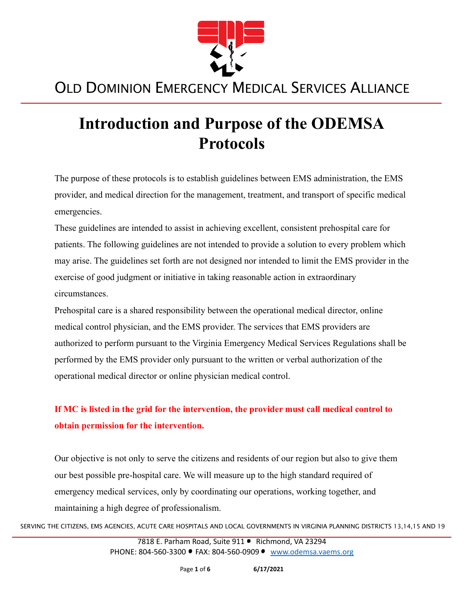

# **Introduction and Purpose of the ODEMSA Protocols**

The purpose of these protocols is to establish guidelines between EMS administration, the EMS provider, and medical direction for the management, treatment, and transport of specific medical emergencies.

These guidelines are intended to assist in achieving excellent, consistent prehospital care for patients. The following guidelines are not intended to provide a solution to every problem which may arise. The guidelines set forth are not designed nor intended to limit the EMS provider in the exercise of good judgment or initiative in taking reasonable action in extraordinary circumstances.

Prehospital care is a shared responsibility between the operational medical director, online medical control physician, and the EMS provider. The services that EMS providers are authorized to perform pursuant to the Virginia Emergency Medical Services Regulations shall be performed by the EMS provider only pursuant to the written or verbal authorization of the operational medical director or online physician medical control.

#### **If MC is listed in the grid for the intervention, the provider must call medical control to obtain permission for the intervention.**

Our objective is not only to serve the citizens and residents of our region but also to give them our best possible pre-hospital care. We will measure up to the high standard required of emergency medical services, only by coordinating our operations, working together, and maintaining a high degree of professionalism.

SERVING THE CITIZENS, EMS AGENCIES, ACUTE CARE HOSPITALS AND LOCAL GOVERNMENTS IN VIRGINIA PLANNING DISTRICTS 13,14,15 AND 19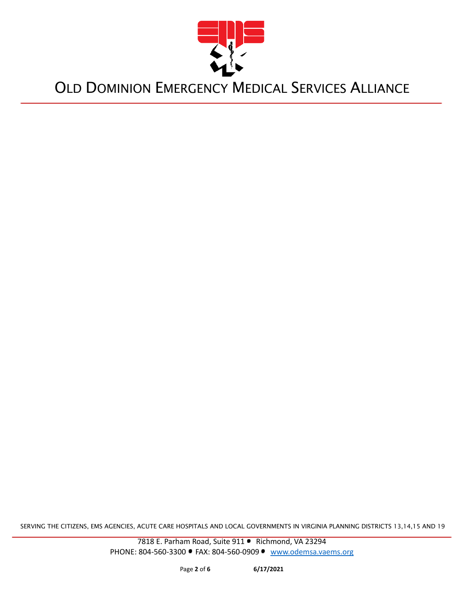

SERVING THE CITIZENS, EMS AGENCIES, ACUTE CARE HOSPITALS AND LOCAL GOVERNMENTS IN VIRGINIA PLANNING DISTRICTS 13,14,15 AND 19

7818 E. Parham Road, Suite 911 · Richmond, VA 23294 PHONE: 804-560-3300 • FAX: 804-560-0909 • [www.odemsa.vaems.org](http://www.odemsa.vaems.org)

Page **2** of **6 6/17/2021**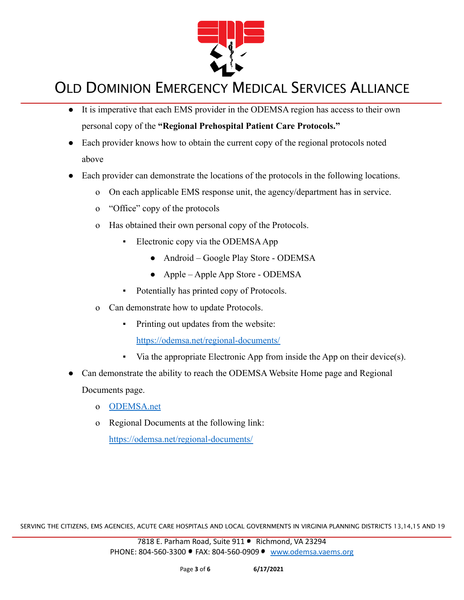

- **●** It is imperative that each EMS provider in the ODEMSA region has access to their own personal copy of the **"Regional Prehospital Patient Care Protocols."**
- Each provider knows how to obtain the current copy of the regional protocols noted above
- Each provider can demonstrate the locations of the protocols in the following locations.
	- o On each applicable EMS response unit, the agency/department has in service.
	- o "Office" copy of the protocols
	- o Has obtained their own personal copy of the Protocols.
		- Electronic copy via the ODEMSA App
			- Android Google Play Store ODEMSA
			- Apple Apple App Store ODEMSA
		- Potentially has printed copy of Protocols.
	- o Can demonstrate how to update Protocols.
		- Printing out updates from the website:

<https://odemsa.net/regional-documents/>

- Via the appropriate Electronic App from inside the App on their device(s).
- Can demonstrate the ability to reach the ODEMSA Website Home page and Regional Documents page.
	- o [ODEMSA.net](https://odemsa.net)
	- o Regional Documents at the following link:

<https://odemsa.net/regional-documents/>

SERVING THE CITIZENS, EMS AGENCIES, ACUTE CARE HOSPITALS AND LOCAL GOVERNMENTS IN VIRGINIA PLANNING DISTRICTS 13,14,15 AND 19

7818 E. Parham Road, Suite 911 · Richmond, VA 23294 PHONE: 804-560-3300 • FAX: 804-560-0909 • [www.odemsa.vaems.org](http://www.odemsa.vaems.org)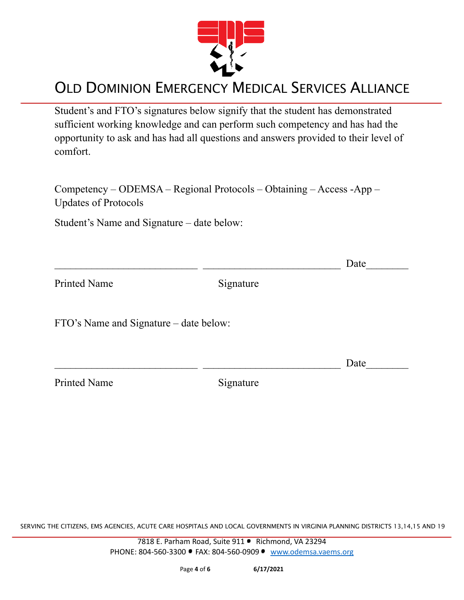

Student's and FTO's signatures below signify that the student has demonstrated sufficient working knowledge and can perform such competency and has had the opportunity to ask and has had all questions and answers provided to their level of comfort.

Competency – ODEMSA – Regional Protocols – Obtaining – Access -App – Updates of Protocols

Student's Name and Signature – date below:

|                                        |           | Date |
|----------------------------------------|-----------|------|
| <b>Printed Name</b>                    | Signature |      |
| FTO's Name and Signature – date below: |           |      |
|                                        |           | Date |
| <b>Printed Name</b>                    | Signature |      |

SERVING THE CITIZENS, EMS AGENCIES, ACUTE CARE HOSPITALS AND LOCAL GOVERNMENTS IN VIRGINIA PLANNING DISTRICTS 13,14,15 AND 19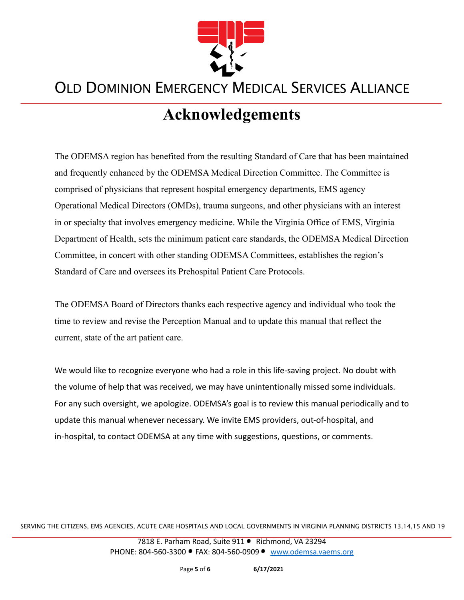

## **Acknowledgements**

The ODEMSA region has benefited from the resulting Standard of Care that has been maintained and frequently enhanced by the ODEMSA Medical Direction Committee. The Committee is comprised of physicians that represent hospital emergency departments, EMS agency Operational Medical Directors (OMDs), trauma surgeons, and other physicians with an interest in or specialty that involves emergency medicine. While the Virginia Office of EMS, Virginia Department of Health, sets the minimum patient care standards, the ODEMSA Medical Direction Committee, in concert with other standing ODEMSA Committees, establishes the region's Standard of Care and oversees its Prehospital Patient Care Protocols.

The ODEMSA Board of Directors thanks each respective agency and individual who took the time to review and revise the Perception Manual and to update this manual that reflect the current, state of the art patient care.

We would like to recognize everyone who had a role in this life-saving project. No doubt with the volume of help that was received, we may have unintentionally missed some individuals. For any such oversight, we apologize. ODEMSA's goal is to review this manual periodically and to update this manual whenever necessary. We invite EMS providers, out-of-hospital, and in-hospital, to contact ODEMSA at any time with suggestions, questions, or comments.

SERVING THE CITIZENS, EMS AGENCIES, ACUTE CARE HOSPITALS AND LOCAL GOVERNMENTS IN VIRGINIA PLANNING DISTRICTS 13,14,15 AND 19